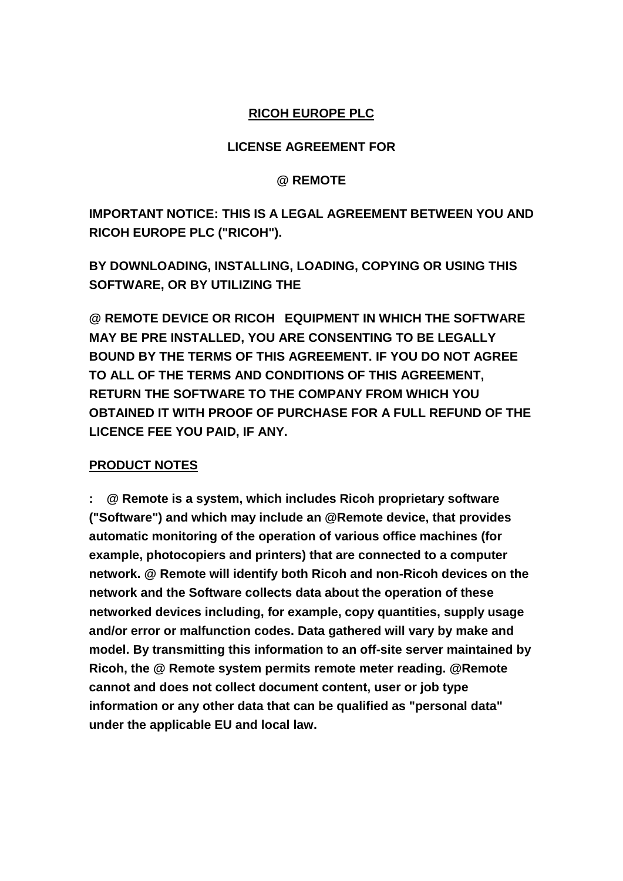### **RICOH EUROPE PLC**

#### **LICENSE AGREEMENT FOR**

#### **@ REMOTE**

**IMPORTANT NOTICE: THIS IS A LEGAL AGREEMENT BETWEEN YOU AND RICOH EUROPE PLC ("RICOH").**

**BY DOWNLOADING, INSTALLING, LOADING, COPYING OR USING THIS SOFTWARE, OR BY UTILIZING THE** 

**@ REMOTE DEVICE OR RICOH EQUIPMENT IN WHICH THE SOFTWARE MAY BE PRE INSTALLED, YOU ARE CONSENTING TO BE LEGALLY BOUND BY THE TERMS OF THIS AGREEMENT. IF YOU DO NOT AGREE TO ALL OF THE TERMS AND CONDITIONS OF THIS AGREEMENT, RETURN THE SOFTWARE TO THE COMPANY FROM WHICH YOU OBTAINED IT WITH PROOF OF PURCHASE FOR A FULL REFUND OF THE LICENCE FEE YOU PAID, IF ANY.** 

#### **PRODUCT NOTES**

**: @ Remote is a system, which includes Ricoh proprietary software ("Software") and which may include an @Remote device, that provides automatic monitoring of the operation of various office machines (for example, photocopiers and printers) that are connected to a computer network. @ Remote will identify both Ricoh and non-Ricoh devices on the network and the Software collects data about the operation of these networked devices including, for example, copy quantities, supply usage and/or error or malfunction codes. Data gathered will vary by make and model. By transmitting this information to an off-site server maintained by Ricoh, the @ Remote system permits remote meter reading. @Remote cannot and does not collect document content, user or job type information or any other data that can be qualified as "personal data" under the applicable EU and local law.**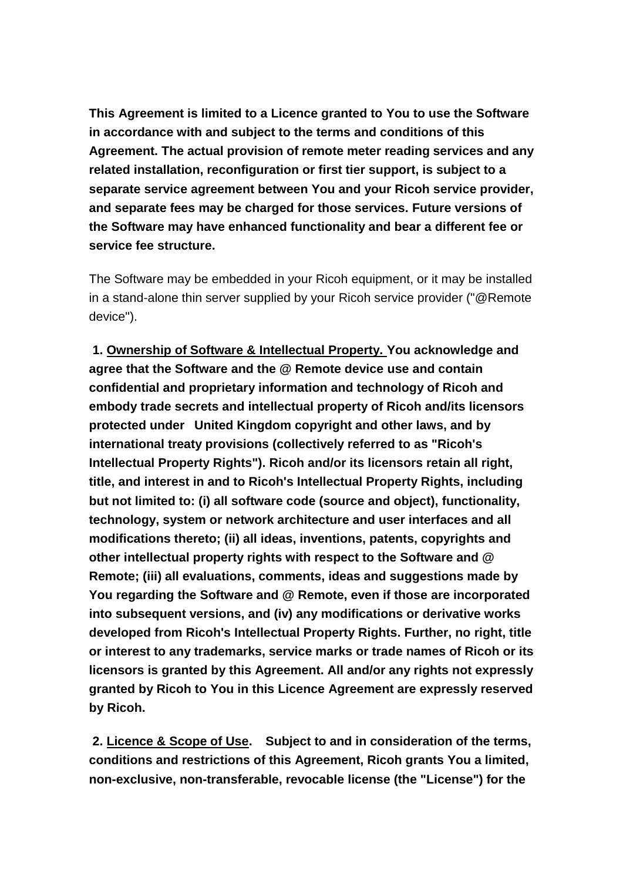**This Agreement is limited to a Licence granted to You to use the Software in accordance with and subject to the terms and conditions of this Agreement. The actual provision of remote meter reading services and any related installation, reconfiguration or first tier support, is subject to a separate service agreement between You and your Ricoh service provider, and separate fees may be charged for those services. Future versions of the Software may have enhanced functionality and bear a different fee or service fee structure.** 

The Software may be embedded in your Ricoh equipment, or it may be installed in a stand-alone thin server supplied by your Ricoh service provider ("@Remote device").

**1. Ownership of Software & Intellectual Property. You acknowledge and agree that the Software and the @ Remote device use and contain confidential and proprietary information and technology of Ricoh and embody trade secrets and intellectual property of Ricoh and/its licensors protected under United Kingdom copyright and other laws, and by international treaty provisions (collectively referred to as "Ricoh's Intellectual Property Rights"). Ricoh and/or its licensors retain all right, title, and interest in and to Ricoh's Intellectual Property Rights, including but not limited to: (i) all software code (source and object), functionality, technology, system or network architecture and user interfaces and all modifications thereto; (ii) all ideas, inventions, patents, copyrights and other intellectual property rights with respect to the Software and @ Remote; (iii) all evaluations, comments, ideas and suggestions made by You regarding the Software and @ Remote, even if those are incorporated into subsequent versions, and (iv) any modifications or derivative works developed from Ricoh's Intellectual Property Rights. Further, no right, title or interest to any trademarks, service marks or trade names of Ricoh or its licensors is granted by this Agreement. All and/or any rights not expressly granted by Ricoh to You in this Licence Agreement are expressly reserved by Ricoh.** 

**2. Licence & Scope of Use. Subject to and in consideration of the terms, conditions and restrictions of this Agreement, Ricoh grants You a limited, non-exclusive, non-transferable, revocable license (the "License") for the**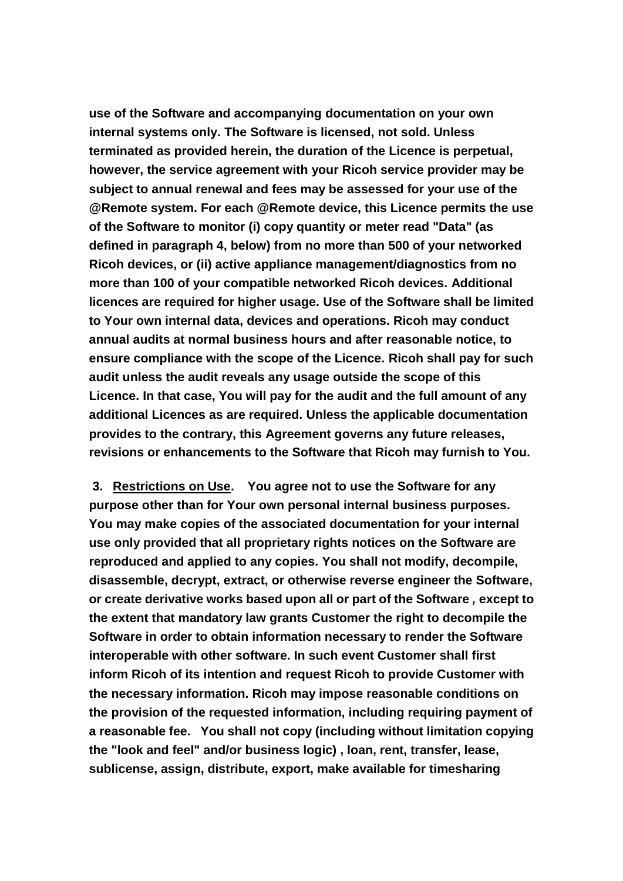**use of the Software and accompanying documentation on your own internal systems only. The Software is licensed, not sold. Unless terminated as provided herein, the duration of the Licence is perpetual, however, the service agreement with your Ricoh service provider may be subject to annual renewal and fees may be assessed for your use of the @Remote system. For each @Remote device, this Licence permits the use of the Software to monitor (i) copy quantity or meter read "Data" (as defined in paragraph 4, below) from no more than 500 of your networked Ricoh devices, or (ii) active appliance management/diagnostics from no more than 100 of your compatible networked Ricoh devices. Additional licences are required for higher usage. Use of the Software shall be limited to Your own internal data, devices and operations. Ricoh may conduct annual audits at normal business hours and after reasonable notice, to ensure compliance with the scope of the Licence. Ricoh shall pay for such audit unless the audit reveals any usage outside the scope of this Licence. In that case, You will pay for the audit and the full amount of any additional Licences as are required. Unless the applicable documentation provides to the contrary, this Agreement governs any future releases, revisions or enhancements to the Software that Ricoh may furnish to You.**

**3. Restrictions on Use. You agree not to use the Software for any purpose other than for Your own personal internal business purposes. You may make copies of the associated documentation for your internal use only provided that all proprietary rights notices on the Software are reproduced and applied to any copies. You shall not modify, decompile, disassemble, decrypt, extract, or otherwise reverse engineer the Software, or create derivative works based upon all or part of the Software** *,* **except to the extent that mandatory law grants Customer the right to decompile the Software in order to obtain information necessary to render the Software interoperable with other software. In such event Customer shall first inform Ricoh of its intention and request Ricoh to provide Customer with the necessary information. Ricoh may impose reasonable conditions on the provision of the requested information, including requiring payment of a reasonable fee. You shall not copy (including without limitation copying the "look and feel" and/or business logic) , loan, rent, transfer, lease, sublicense, assign, distribute, export, make available for timesharing**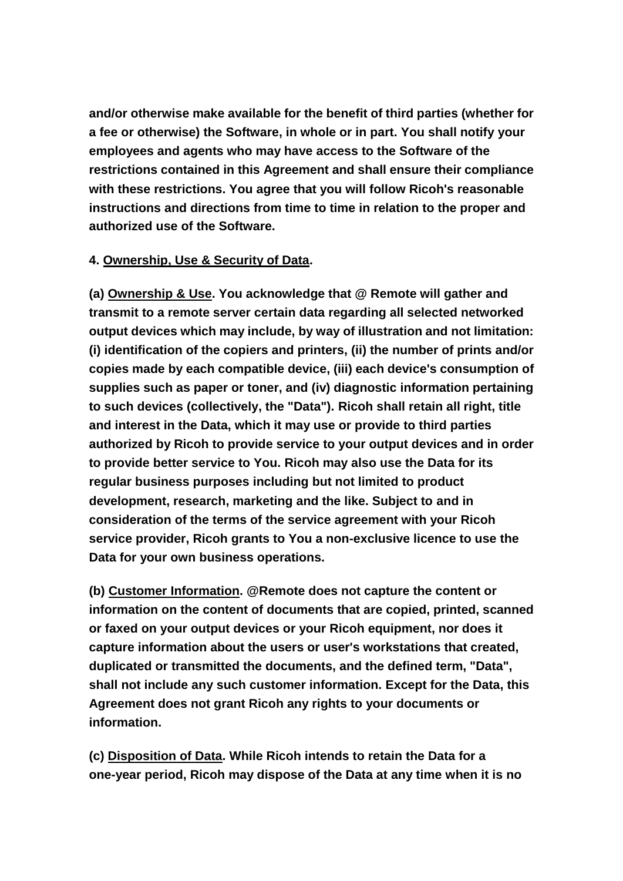**and/or otherwise make available for the benefit of third parties (whether for a fee or otherwise) the Software, in whole or in part. You shall notify your employees and agents who may have access to the Software of the restrictions contained in this Agreement and shall ensure their compliance with these restrictions. You agree that you will follow Ricoh's reasonable instructions and directions from time to time in relation to the proper and authorized use of the Software.**

#### **4. Ownership, Use & Security of Data.**

**(a) Ownership & Use. You acknowledge that @ Remote will gather and transmit to a remote server certain data regarding all selected networked output devices which may include, by way of illustration and not limitation: (i) identification of the copiers and printers, (ii) the number of prints and/or copies made by each compatible device, (iii) each device's consumption of supplies such as paper or toner, and (iv) diagnostic information pertaining to such devices (collectively, the "Data"). Ricoh shall retain all right, title and interest in the Data, which it may use or provide to third parties authorized by Ricoh to provide service to your output devices and in order to provide better service to You. Ricoh may also use the Data for its regular business purposes including but not limited to product development, research, marketing and the like. Subject to and in consideration of the terms of the service agreement with your Ricoh service provider, Ricoh grants to You a non-exclusive licence to use the Data for your own business operations.**

**(b) Customer Information. @Remote does not capture the content or information on the content of documents that are copied, printed, scanned or faxed on your output devices or your Ricoh equipment, nor does it capture information about the users or user's workstations that created, duplicated or transmitted the documents, and the defined term, "Data", shall not include any such customer information. Except for the Data, this Agreement does not grant Ricoh any rights to your documents or information.**

**(c) Disposition of Data. While Ricoh intends to retain the Data for a one-year period, Ricoh may dispose of the Data at any time when it is no**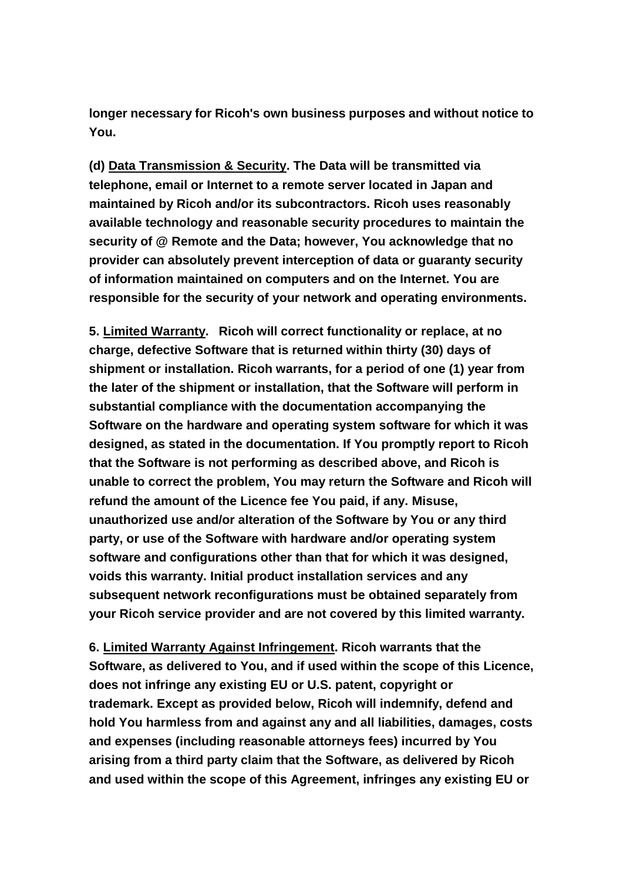**longer necessary for Ricoh's own business purposes and without notice to You.**

**(d) Data Transmission & Security. The Data will be transmitted via telephone, email or Internet to a remote server located in Japan and maintained by Ricoh and/or its subcontractors. Ricoh uses reasonably available technology and reasonable security procedures to maintain the security of @ Remote and the Data; however, You acknowledge that no provider can absolutely prevent interception of data or guaranty security of information maintained on computers and on the Internet. You are responsible for the security of your network and operating environments.**

**5. Limited Warranty. Ricoh will correct functionality or replace, at no charge, defective Software that is returned within thirty (30) days of shipment or installation. Ricoh warrants, for a period of one (1) year from the later of the shipment or installation, that the Software will perform in substantial compliance with the documentation accompanying the Software on the hardware and operating system software for which it was designed, as stated in the documentation. If You promptly report to Ricoh that the Software is not performing as described above, and Ricoh is unable to correct the problem, You may return the Software and Ricoh will refund the amount of the Licence fee You paid, if any. Misuse, unauthorized use and/or alteration of the Software by You or any third party, or use of the Software with hardware and/or operating system software and configurations other than that for which it was designed, voids this warranty. Initial product installation services and any subsequent network reconfigurations must be obtained separately from your Ricoh service provider and are not covered by this limited warranty.**

**6. Limited Warranty Against Infringement. Ricoh warrants that the Software, as delivered to You, and if used within the scope of this Licence, does not infringe any existing EU or U.S. patent, copyright or trademark. Except as provided below, Ricoh will indemnify, defend and hold You harmless from and against any and all liabilities, damages, costs and expenses (including reasonable attorneys fees) incurred by You arising from a third party claim that the Software, as delivered by Ricoh and used within the scope of this Agreement, infringes any existing EU or**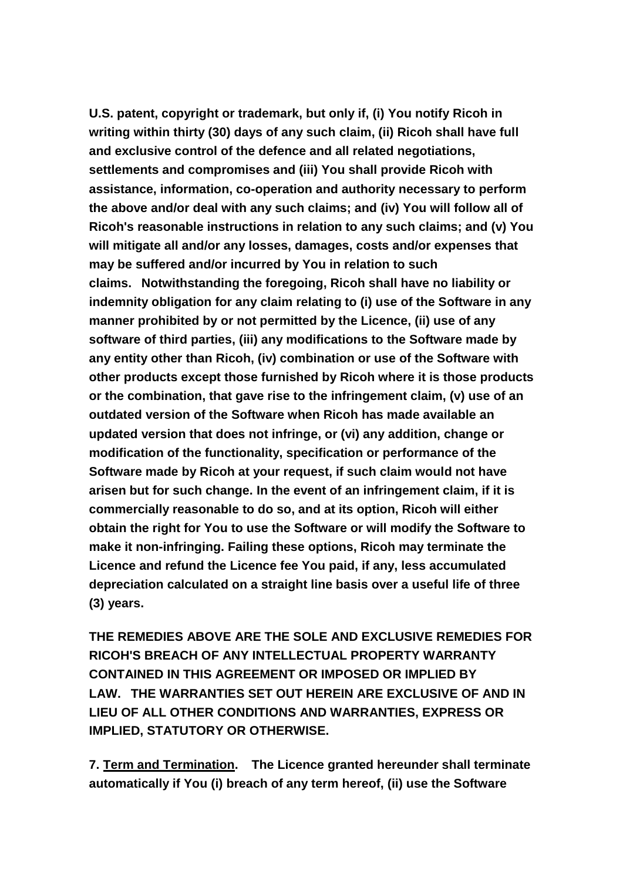**U.S. patent, copyright or trademark, but only if, (i) You notify Ricoh in writing within thirty (30) days of any such claim, (ii) Ricoh shall have full and exclusive control of the defence and all related negotiations, settlements and compromises and (iii) You shall provide Ricoh with assistance, information, co-operation and authority necessary to perform the above and/or deal with any such claims; and (iv) You will follow all of Ricoh's reasonable instructions in relation to any such claims; and (v) You will mitigate all and/or any losses, damages, costs and/or expenses that may be suffered and/or incurred by You in relation to such claims. Notwithstanding the foregoing, Ricoh shall have no liability or indemnity obligation for any claim relating to (i) use of the Software in any manner prohibited by or not permitted by the Licence, (ii) use of any software of third parties, (iii) any modifications to the Software made by any entity other than Ricoh, (iv) combination or use of the Software with other products except those furnished by Ricoh where it is those products or the combination, that gave rise to the infringement claim, (v) use of an outdated version of the Software when Ricoh has made available an updated version that does not infringe, or (vi) any addition, change or modification of the functionality, specification or performance of the Software made by Ricoh at your request, if such claim would not have arisen but for such change. In the event of an infringement claim, if it is commercially reasonable to do so, and at its option, Ricoh will either obtain the right for You to use the Software or will modify the Software to make it non-infringing. Failing these options, Ricoh may terminate the Licence and refund the Licence fee You paid, if any, less accumulated depreciation calculated on a straight line basis over a useful life of three (3) years.**

**THE REMEDIES ABOVE ARE THE SOLE AND EXCLUSIVE REMEDIES FOR RICOH'S BREACH OF ANY INTELLECTUAL PROPERTY WARRANTY CONTAINED IN THIS AGREEMENT OR IMPOSED OR IMPLIED BY LAW. THE WARRANTIES SET OUT HEREIN ARE EXCLUSIVE OF AND IN LIEU OF ALL OTHER CONDITIONS AND WARRANTIES, EXPRESS OR IMPLIED, STATUTORY OR OTHERWISE.** 

**7. Term and Termination. The Licence granted hereunder shall terminate automatically if You (i) breach of any term hereof, (ii) use the Software**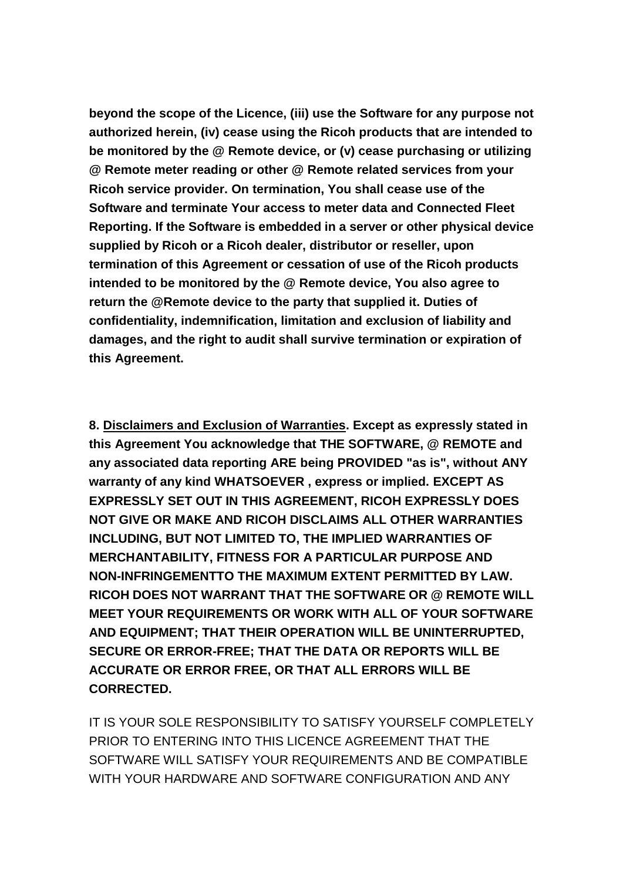**beyond the scope of the Licence, (iii) use the Software for any purpose not authorized herein, (iv) cease using the Ricoh products that are intended to be monitored by the @ Remote device, or (v) cease purchasing or utilizing @ Remote meter reading or other @ Remote related services from your Ricoh service provider. On termination, You shall cease use of the Software and terminate Your access to meter data and Connected Fleet Reporting. If the Software is embedded in a server or other physical device supplied by Ricoh or a Ricoh dealer, distributor or reseller, upon termination of this Agreement or cessation of use of the Ricoh products intended to be monitored by the @ Remote device, You also agree to return the @Remote device to the party that supplied it. Duties of confidentiality, indemnification, limitation and exclusion of liability and damages, and the right to audit shall survive termination or expiration of this Agreement.**

**8. Disclaimers and Exclusion of Warranties. Except as expressly stated in this Agreement You acknowledge that THE SOFTWARE, @ REMOTE and any associated data reporting ARE being PROVIDED "as is", without ANY warranty of any kind WHATSOEVER , express or implied. EXCEPT AS EXPRESSLY SET OUT IN THIS AGREEMENT, RICOH EXPRESSLY DOES NOT GIVE OR MAKE AND RICOH DISCLAIMS ALL OTHER WARRANTIES INCLUDING, BUT NOT LIMITED TO, THE IMPLIED WARRANTIES OF MERCHANTABILITY, FITNESS FOR A PARTICULAR PURPOSE AND NON-INFRINGEMENTTO THE MAXIMUM EXTENT PERMITTED BY LAW. RICOH DOES NOT WARRANT THAT THE SOFTWARE OR @ REMOTE WILL MEET YOUR REQUIREMENTS OR WORK WITH ALL OF YOUR SOFTWARE AND EQUIPMENT; THAT THEIR OPERATION WILL BE UNINTERRUPTED, SECURE OR ERROR-FREE; THAT THE DATA OR REPORTS WILL BE ACCURATE OR ERROR FREE, OR THAT ALL ERRORS WILL BE CORRECTED.**

IT IS YOUR SOLE RESPONSIBILITY TO SATISFY YOURSELF COMPLETELY PRIOR TO ENTERING INTO THIS LICENCE AGREEMENT THAT THE SOFTWARE WILL SATISFY YOUR REQUIREMENTS AND BE COMPATIBLE WITH YOUR HARDWARE AND SOFTWARE CONFIGURATION AND ANY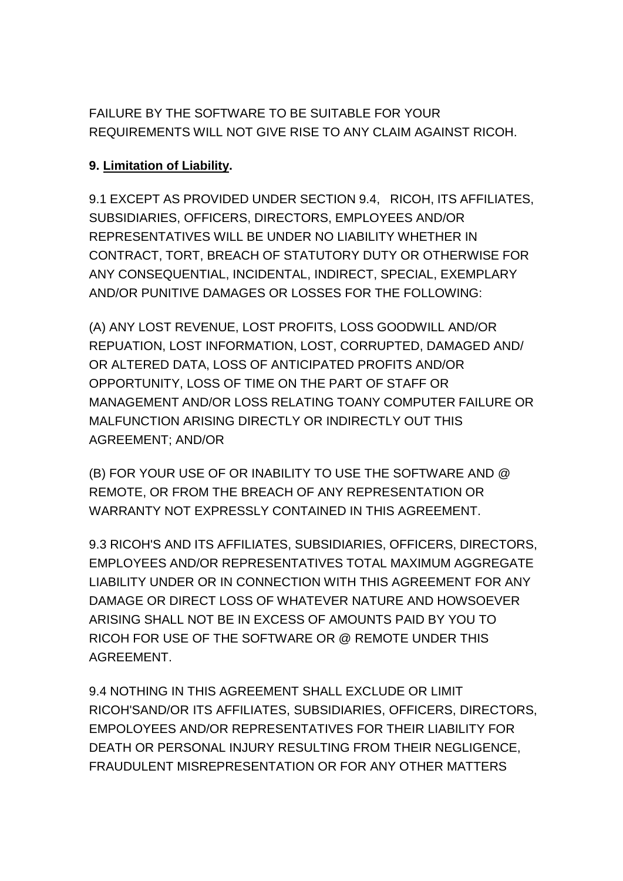FAILURE BY THE SOFTWARE TO BE SUITABLE FOR YOUR REQUIREMENTS WILL NOT GIVE RISE TO ANY CLAIM AGAINST RICOH.

## **9. Limitation of Liability.**

9.1 EXCEPT AS PROVIDED UNDER SECTION 9.4, RICOH, ITS AFFILIATES, SUBSIDIARIES, OFFICERS, DIRECTORS, EMPLOYEES AND/OR REPRESENTATIVES WILL BE UNDER NO LIABILITY WHETHER IN CONTRACT, TORT, BREACH OF STATUTORY DUTY OR OTHERWISE FOR ANY CONSEQUENTIAL, INCIDENTAL, INDIRECT, SPECIAL, EXEMPLARY AND/OR PUNITIVE DAMAGES OR LOSSES FOR THE FOLLOWING:

(A) ANY LOST REVENUE, LOST PROFITS, LOSS GOODWILL AND/OR REPUATION, LOST INFORMATION, LOST, CORRUPTED, DAMAGED AND/ OR ALTERED DATA, LOSS OF ANTICIPATED PROFITS AND/OR OPPORTUNITY, LOSS OF TIME ON THE PART OF STAFF OR MANAGEMENT AND/OR LOSS RELATING TOANY COMPUTER FAILURE OR MALFUNCTION ARISING DIRECTLY OR INDIRECTLY OUT THIS AGREEMENT; AND/OR

(B) FOR YOUR USE OF OR INABILITY TO USE THE SOFTWARE AND @ REMOTE, OR FROM THE BREACH OF ANY REPRESENTATION OR WARRANTY NOT EXPRESSLY CONTAINED IN THIS AGREEMENT.

9.3 RICOH'S AND ITS AFFILIATES, SUBSIDIARIES, OFFICERS, DIRECTORS, EMPLOYEES AND/OR REPRESENTATIVES TOTAL MAXIMUM AGGREGATE LIABILITY UNDER OR IN CONNECTION WITH THIS AGREEMENT FOR ANY DAMAGE OR DIRECT LOSS OF WHATEVER NATURE AND HOWSOEVER ARISING SHALL NOT BE IN EXCESS OF AMOUNTS PAID BY YOU TO RICOH FOR USE OF THE SOFTWARE OR @ REMOTE UNDER THIS AGREEMENT.

9.4 NOTHING IN THIS AGREEMENT SHALL EXCLUDE OR LIMIT RICOH'SAND/OR ITS AFFILIATES, SUBSIDIARIES, OFFICERS, DIRECTORS, EMPOLOYEES AND/OR REPRESENTATIVES FOR THEIR LIABILITY FOR DEATH OR PERSONAL INJURY RESULTING FROM THEIR NEGLIGENCE, FRAUDULENT MISREPRESENTATION OR FOR ANY OTHER MATTERS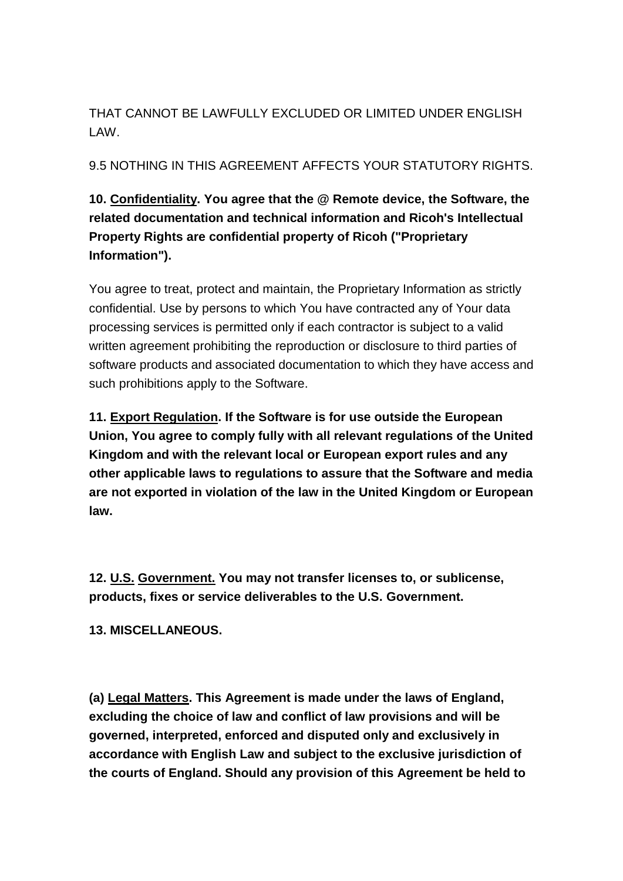THAT CANNOT BE LAWFULLY EXCLUDED OR LIMITED UNDER ENGLISH LAW.

9.5 NOTHING IN THIS AGREEMENT AFFECTS YOUR STATUTORY RIGHTS.

# **10. Confidentiality. You agree that the @ Remote device, the Software, the related documentation and technical information and Ricoh's Intellectual Property Rights are confidential property of Ricoh ("Proprietary Information").**

You agree to treat, protect and maintain, the Proprietary Information as strictly confidential. Use by persons to which You have contracted any of Your data processing services is permitted only if each contractor is subject to a valid written agreement prohibiting the reproduction or disclosure to third parties of software products and associated documentation to which they have access and such prohibitions apply to the Software.

**11. Export Regulation. If the Software is for use outside the European Union, You agree to comply fully with all relevant regulations of the United Kingdom and with the relevant local or European export rules and any other applicable laws to regulations to assure that the Software and media are not exported in violation of the law in the United Kingdom or European law.**

**12. U.S. Government. You may not transfer licenses to, or sublicense, products, fixes or service deliverables to the U.S. Government.**

**13. MISCELLANEOUS.**

**(a) Legal Matters. This Agreement is made under the laws of England, excluding the choice of law and conflict of law provisions and will be governed, interpreted, enforced and disputed only and exclusively in accordance with English Law and subject to the exclusive jurisdiction of the courts of England. Should any provision of this Agreement be held to**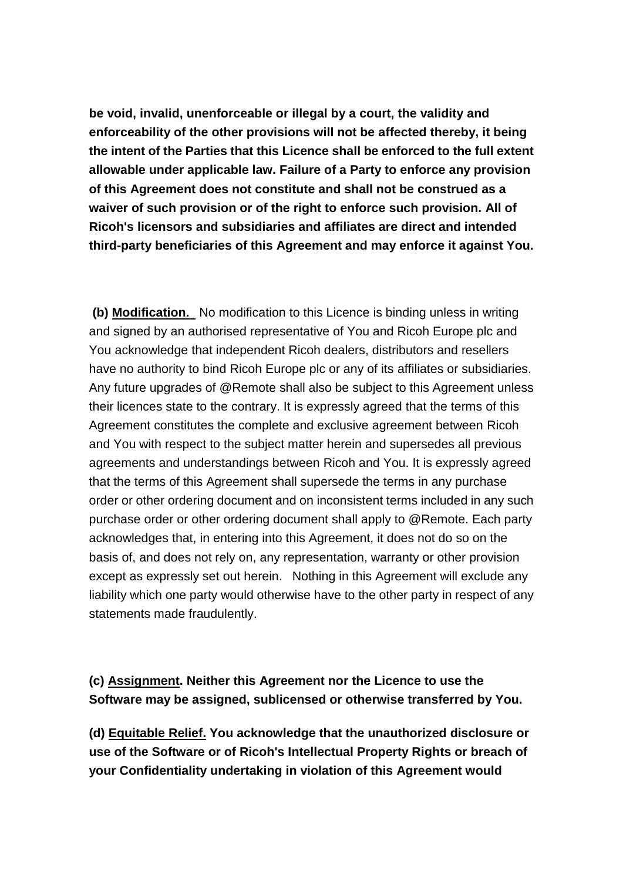**be void, invalid, unenforceable or illegal by a court, the validity and enforceability of the other provisions will not be affected thereby, it being the intent of the Parties that this Licence shall be enforced to the full extent allowable under applicable law. Failure of a Party to enforce any provision of this Agreement does not constitute and shall not be construed as a waiver of such provision or of the right to enforce such provision. All of Ricoh's licensors and subsidiaries and affiliates are direct and intended third-party beneficiaries of this Agreement and may enforce it against You.**

**(b) Modification.** No modification to this Licence is binding unless in writing and signed by an authorised representative of You and Ricoh Europe plc and You acknowledge that independent Ricoh dealers, distributors and resellers have no authority to bind Ricoh Europe plc or any of its affiliates or subsidiaries. Any future upgrades of @Remote shall also be subject to this Agreement unless their licences state to the contrary. It is expressly agreed that the terms of this Agreement constitutes the complete and exclusive agreement between Ricoh and You with respect to the subject matter herein and supersedes all previous agreements and understandings between Ricoh and You. It is expressly agreed that the terms of this Agreement shall supersede the terms in any purchase order or other ordering document and on inconsistent terms included in any such purchase order or other ordering document shall apply to @Remote. Each party acknowledges that, in entering into this Agreement, it does not do so on the basis of, and does not rely on, any representation, warranty or other provision except as expressly set out herein. Nothing in this Agreement will exclude any liability which one party would otherwise have to the other party in respect of any statements made fraudulently.

## **(c) Assignment. Neither this Agreement nor the Licence to use the Software may be assigned, sublicensed or otherwise transferred by You.**

**(d) Equitable Relief. You acknowledge that the unauthorized disclosure or use of the Software or of Ricoh's Intellectual Property Rights or breach of your Confidentiality undertaking in violation of this Agreement would**